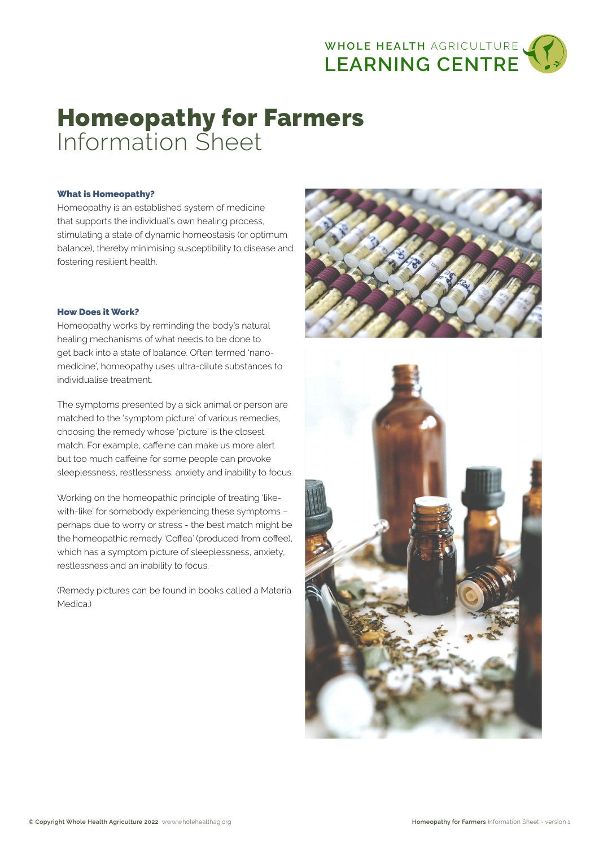

# Homeopathy for Farmers Information Sheet

# What is Homeopathy?

Homeopathy is an established system of medicine that supports the individual's own healing process, stimulating a state of dynamic homeostasis (or optimum balance), thereby minimising susceptibility to disease and fostering resilient health.

### How Does it Work?

Homeopathy works by reminding the body's natural healing mechanisms of what needs to be done to get back into a state of balance. Often termed 'nanomedicine', homeopathy uses ultra-dilute substances to individualise treatment.

The symptoms presented by a sick animal or person are matched to the 'symptom picture' of various remedies, choosing the remedy whose 'picture' is the closest match. For example, caffeine can make us more alert but too much caffeine for some people can provoke sleeplessness, restlessness, anxiety and inability to focus.

Working on the homeopathic principle of treating 'likewith-like' for somebody experiencing these symptoms – perhaps due to worry or stress - the best match might be the homeopathic remedy 'Coffea' (produced from coffee), which has a symptom picture of sleeplessness, anxiety, restlessness and an inability to focus.

(Remedy pictures can be found in books called a Materia Medica.)



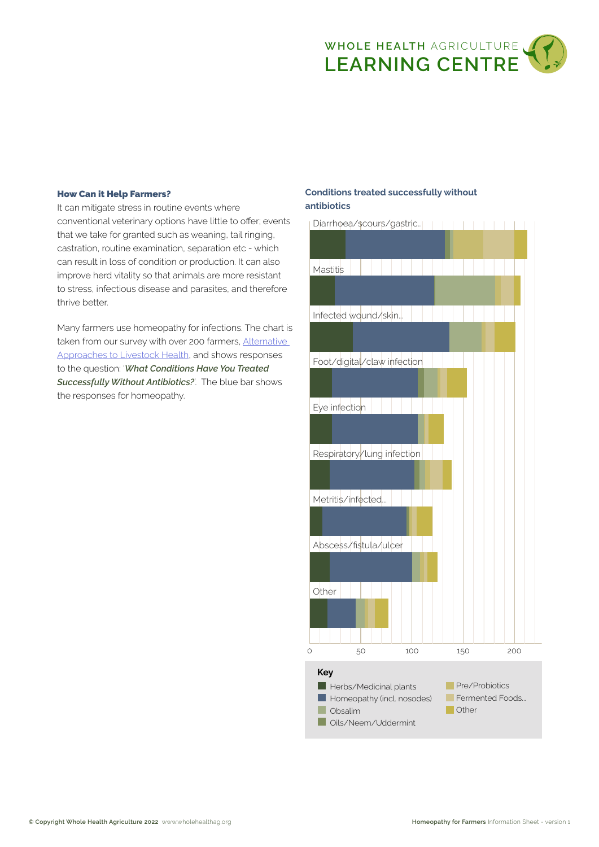

# How Can it Help Farmers?

It can mitigate stress in routine events where conventional veterinary options have little to offer; events that we take for granted such as weaning, tail ringing, castration, routine examination, separation etc - which can result in loss of condition or production. It can also improve herd vitality so that animals are more resistant to stress, infectious disease and parasites, and therefore thrive better.

Many farmers use homeopathy for infections. The chart is taken from our survey with over 200 farmers, [Alternative](https://wholehealthag.org/survey)  [Approaches to Livestock Health,](https://wholehealthag.org/survey) and shows responses to the question: '*What Conditions Have You Treated Successfully Without Antibiotics?*'. The blue bar shows the responses for homeopathy.

# Conditions treated successfully without antibiotics